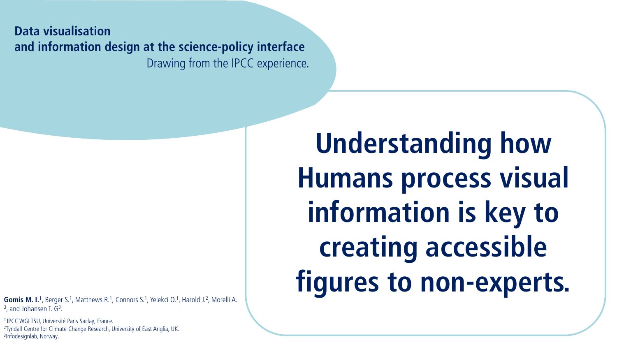**Data visualisation and information design at the science-policy interface** Drawing from the IPCC experience.

**Gomis M. I.<sup>1</sup>**, Berger S.<sup>1</sup>, Matthews R.<sup>1</sup>, Connors S.<sup>1</sup>, Yelekci O.<sup>1</sup>, Harold J.<sup>2</sup>, Morelli A.  $3$ , and Johansen T.  $G<sup>3</sup>$ .

<sup>1</sup> IPCC WGI TSU, Université Paris Saclay, France. <sup>2</sup>Tyndall Centre for Climate Change Research, University of East Anglia, UK. 3Infodesignlab, Norway.

**Understanding how Humans process visual information is key to creating accessible figures to non-experts.**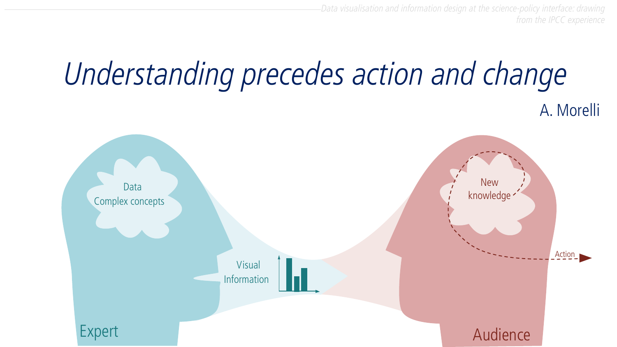

from the IPCC experience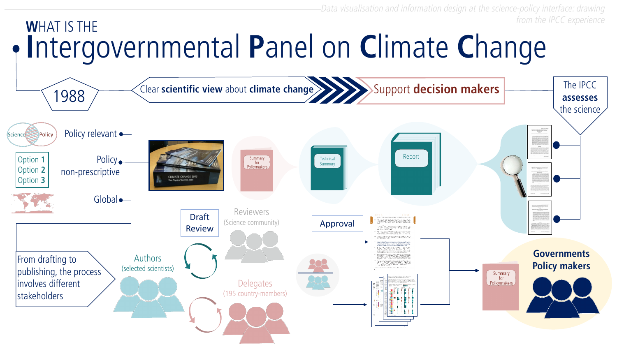

from the IPCC experience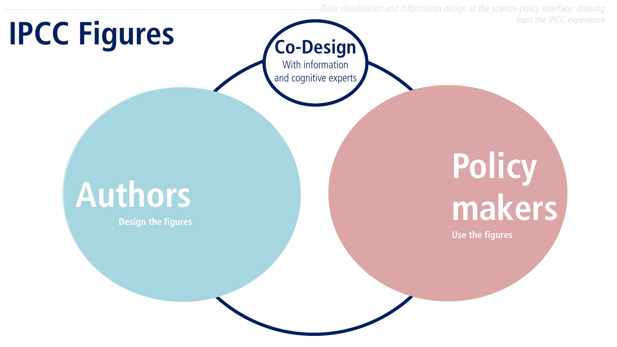# **IPCC Figures**

## **Policy makers Use the figures**

## **Authors**

**Design the figures**



Data visualisation and information design at the science-policy interface: drawing from the IPCC experience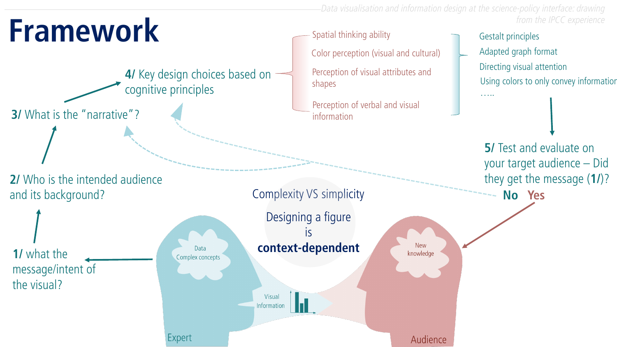

**5/ Test and evaluate on** your target audience – Did they get the message (**1/**)? **No Yes**

Gestalt principles Directing visual attention Adapted graph format Using colors to only convey information …..

from the IPCC experience